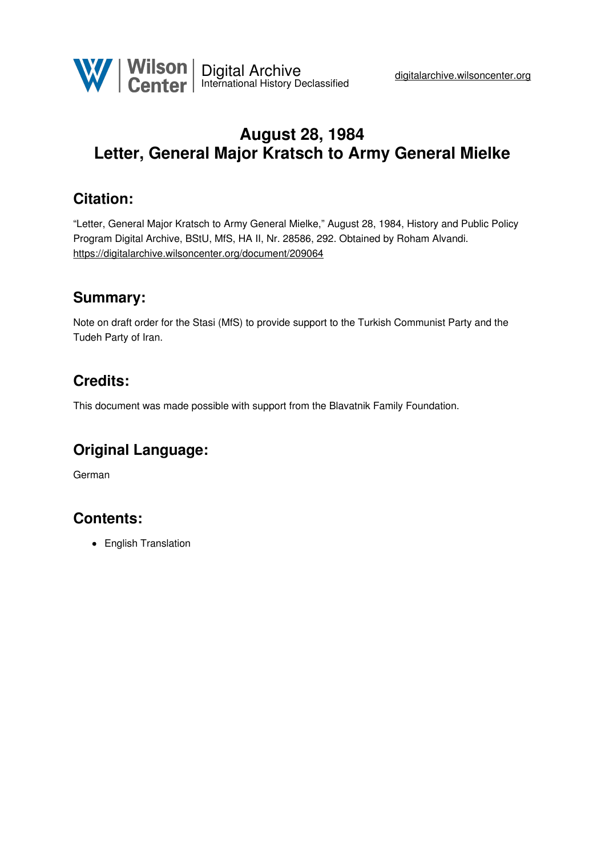

# **August 28, 1984 Letter, General Major Kratsch to Army General Mielke**

## **Citation:**

"Letter, General Major Kratsch to Army General Mielke," August 28, 1984, History and Public Policy Program Digital Archive, BStU, MfS, HA II, Nr. 28586, 292. Obtained by Roham Alvandi. <https://digitalarchive.wilsoncenter.org/document/209064>

### **Summary:**

Note on draft order for the Stasi (MfS) to provide support to the Turkish Communist Party and the Tudeh Party of Iran.

## **Credits:**

This document was made possible with support from the Blavatnik Family Foundation.

## **Original Language:**

German

## **Contents:**

• English Translation